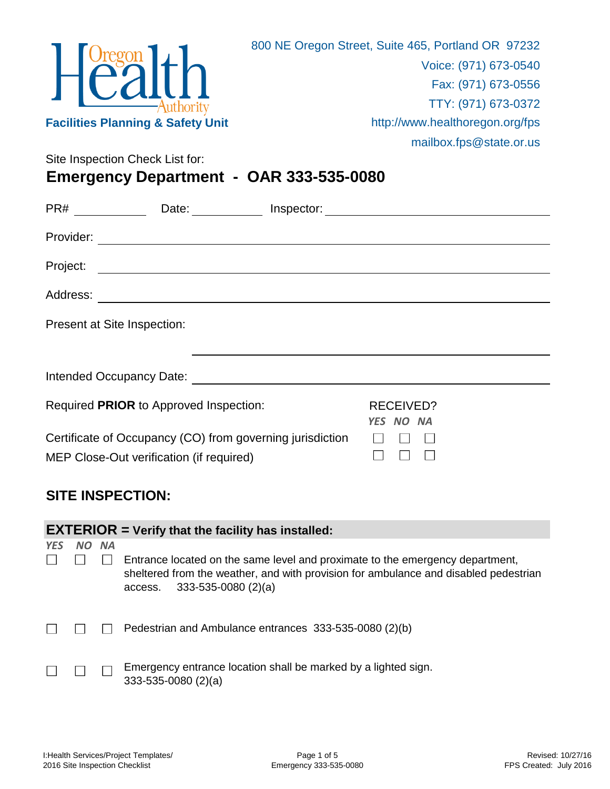

Site Inspection Check List for:

**Emergency Department - OAR 333-535-0080**

|          | Date: Inspector:                                                                                      |  |                               |  |  |  |
|----------|-------------------------------------------------------------------------------------------------------|--|-------------------------------|--|--|--|
|          |                                                                                                       |  |                               |  |  |  |
| Project: |                                                                                                       |  |                               |  |  |  |
|          |                                                                                                       |  |                               |  |  |  |
|          | Present at Site Inspection:                                                                           |  |                               |  |  |  |
|          |                                                                                                       |  |                               |  |  |  |
|          |                                                                                                       |  |                               |  |  |  |
|          | Required PRIOR to Approved Inspection:                                                                |  | <b>RECEIVED?</b><br>YES NO NA |  |  |  |
|          | Certificate of Occupancy (CO) from governing jurisdiction<br>MEP Close-Out verification (if required) |  |                               |  |  |  |

## **SITE INSPECTION:**

|            | <b>EXTERIOR</b> = Verify that the facility has installed: |  |                                                                                                                                                                                                        |  |  |  |  |
|------------|-----------------------------------------------------------|--|--------------------------------------------------------------------------------------------------------------------------------------------------------------------------------------------------------|--|--|--|--|
| <b>YES</b> | NO NA                                                     |  |                                                                                                                                                                                                        |  |  |  |  |
|            |                                                           |  | Entrance located on the same level and proximate to the emergency department,<br>sheltered from the weather, and with provision for ambulance and disabled pedestrian<br>access. $333-535-0080$ (2)(a) |  |  |  |  |
|            |                                                           |  | Pedestrian and Ambulance entrances 333-535-0080 (2)(b)                                                                                                                                                 |  |  |  |  |
|            |                                                           |  | Emergency entrance location shall be marked by a lighted sign.<br>$333-535-0080(2)(a)$                                                                                                                 |  |  |  |  |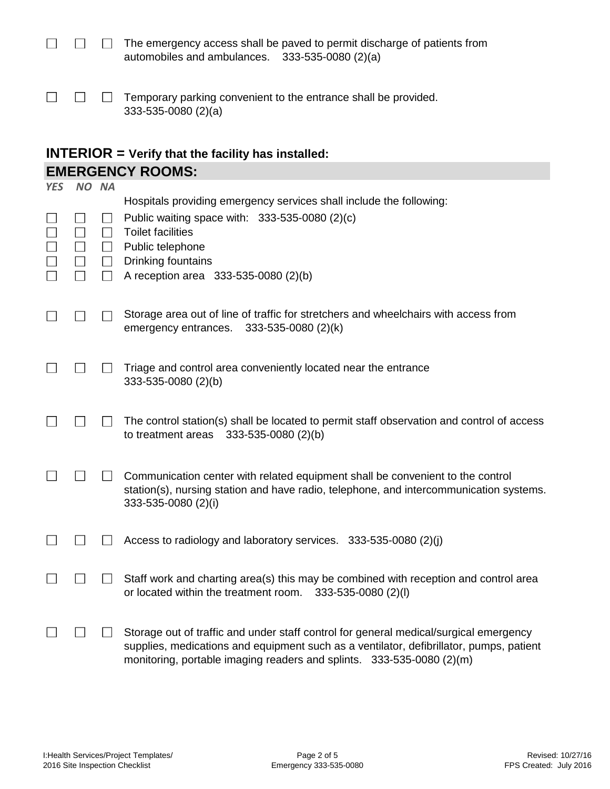|                                                   | The emergency access shall be paved to permit discharge of patients from |
|---------------------------------------------------|--------------------------------------------------------------------------|
| automobiles and ambulances. $333-535-0080$ (2)(a) |                                                                          |

|  | $\Box$ $\Box$ Temporary parking convenient to the entrance shall be provided. |
|--|-------------------------------------------------------------------------------|
|  | $333 - 535 - 0080$ (2)(a)                                                     |

## **EMERGENCY ROOMS: INTERIOR = Verify that the facility has installed:**

| <b>YES</b> | NO NA |                                  |                                                                                                                                                                                                                                                           |
|------------|-------|----------------------------------|-----------------------------------------------------------------------------------------------------------------------------------------------------------------------------------------------------------------------------------------------------------|
|            |       | $\mathsf{L}$<br>$\Box$<br>$\Box$ | Hospitals providing emergency services shall include the following:<br>Public waiting space with: 333-535-0080 (2)(c)<br><b>Toilet facilities</b><br>Public telephone<br>Drinking fountains<br>A reception area 333-535-0080 (2)(b)                       |
|            |       |                                  | Storage area out of line of traffic for stretchers and wheelchairs with access from<br>emergency entrances.<br>333-535-0080 (2)(k)                                                                                                                        |
|            |       |                                  | Triage and control area conveniently located near the entrance<br>333-535-0080 (2)(b)                                                                                                                                                                     |
|            |       |                                  | The control station(s) shall be located to permit staff observation and control of access<br>333-535-0080 (2)(b)<br>to treatment areas                                                                                                                    |
|            |       |                                  | Communication center with related equipment shall be convenient to the control<br>station(s), nursing station and have radio, telephone, and intercommunication systems.<br>333-535-0080 (2)(i)                                                           |
|            |       |                                  | Access to radiology and laboratory services. 333-535-0080 (2)(j)                                                                                                                                                                                          |
|            |       |                                  | Staff work and charting area(s) this may be combined with reception and control area<br>or located within the treatment room.<br>333-535-0080 (2)(l)                                                                                                      |
|            |       |                                  | Storage out of traffic and under staff control for general medical/surgical emergency<br>supplies, medications and equipment such as a ventilator, defibrillator, pumps, patient<br>monitoring, portable imaging readers and splints. 333-535-0080 (2)(m) |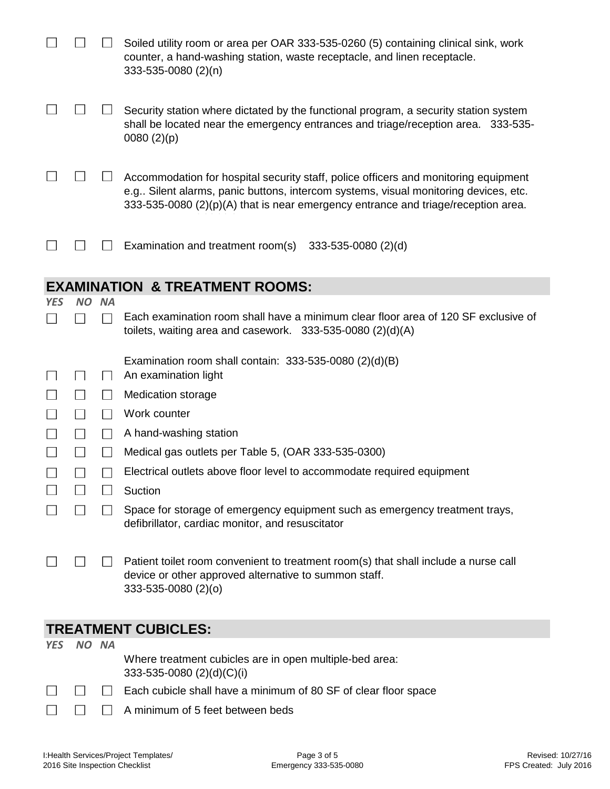|            |           |           | Soiled utility room or area per OAR 333-535-0260 (5) containing clinical sink, work<br>counter, a hand-washing station, waste receptacle, and linen receptacle.<br>333-535-0080 (2)(n)                                                                          |
|------------|-----------|-----------|-----------------------------------------------------------------------------------------------------------------------------------------------------------------------------------------------------------------------------------------------------------------|
|            |           |           | Security station where dictated by the functional program, a security station system<br>shall be located near the emergency entrances and triage/reception area. 333-535-<br>0080(2)(p)                                                                         |
|            |           |           | Accommodation for hospital security staff, police officers and monitoring equipment<br>e.g Silent alarms, panic buttons, intercom systems, visual monitoring devices, etc.<br>333-535-0080 (2)(p)(A) that is near emergency entrance and triage/reception area. |
|            |           |           | Examination and treatment room(s)<br>333-535-0080 (2)(d)                                                                                                                                                                                                        |
|            |           |           | <b>EXAMINATION &amp; TREATMENT ROOMS:</b>                                                                                                                                                                                                                       |
| <b>YES</b> | <b>NO</b> | <b>NA</b> |                                                                                                                                                                                                                                                                 |
|            |           |           | Each examination room shall have a minimum clear floor area of 120 SF exclusive of<br>toilets, waiting area and casework. $333-535-0080$ (2)(d)(A)                                                                                                              |
|            |           |           | Examination room shall contain: $333-535-0080$ (2)(d)(B)                                                                                                                                                                                                        |
|            |           |           | An examination light                                                                                                                                                                                                                                            |
|            |           |           | <b>Medication storage</b>                                                                                                                                                                                                                                       |
|            |           |           | Work counter                                                                                                                                                                                                                                                    |
|            |           |           | A hand-washing station                                                                                                                                                                                                                                          |
|            |           |           | Medical gas outlets per Table 5, (OAR 333-535-0300)                                                                                                                                                                                                             |
|            |           |           | Electrical outlets above floor level to accommodate required equipment                                                                                                                                                                                          |
|            |           |           | Suction                                                                                                                                                                                                                                                         |
|            |           |           | Space for storage of emergency equipment such as emergency treatment trays,<br>defibrillator, cardiac monitor, and resuscitator                                                                                                                                 |
|            |           |           | Patient toilet room convenient to treatment room(s) that shall include a nurse call<br>device or other approved alternative to summon staff.<br>333-535-0080 (2)(o)                                                                                             |
|            |           |           | <b>TREATMENT CUBICLES:</b>                                                                                                                                                                                                                                      |
| <b>YES</b> | NO NA     |           |                                                                                                                                                                                                                                                                 |
|            |           |           | Where treatment cubicles are in open multiple-bed area:<br>333-535-0080 (2)(d)(C)(i)                                                                                                                                                                            |
|            |           |           | Each cubicle shall have a minimum of 80 SF of clear floor space                                                                                                                                                                                                 |

 $\Box$ A minimum of 5 feet between beds

 $\Box$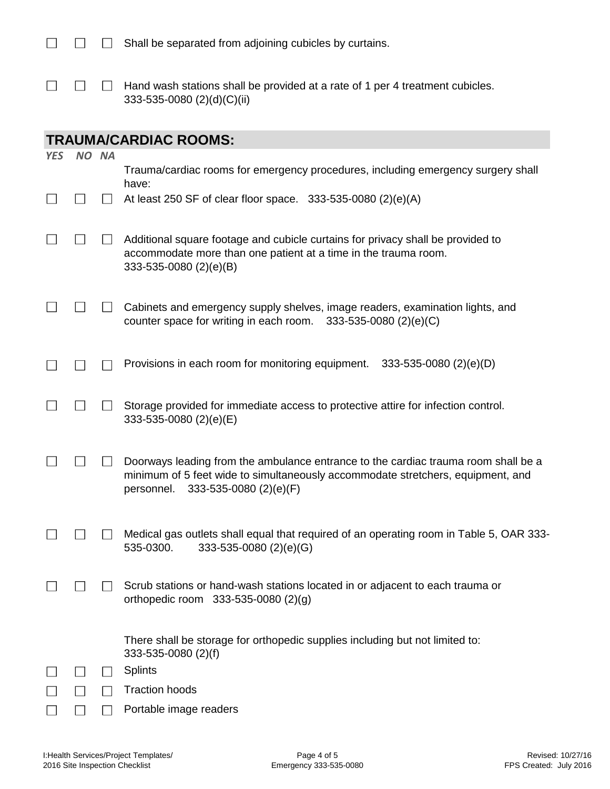$\Box$  Hand wash stations shall be provided at a rate of 1 per 4 treatment cubicles.  $\Box$  $\Box$ 333-535-0080 (2)(d)(C)(ii)

## **TRAUMA/CARDIAC ROOMS:**

 $\Box$ 

| <b>YES</b> | NO NA | Trauma/cardiac rooms for emergency procedures, including emergency surgery shall                                                                                                                              |
|------------|-------|---------------------------------------------------------------------------------------------------------------------------------------------------------------------------------------------------------------|
|            |       | have:<br>At least 250 SF of clear floor space. 333-535-0080 (2)(e)(A)                                                                                                                                         |
|            |       | Additional square footage and cubicle curtains for privacy shall be provided to<br>accommodate more than one patient at a time in the trauma room.<br>333-535-0080 (2)(e)(B)                                  |
|            |       | Cabinets and emergency supply shelves, image readers, examination lights, and<br>counter space for writing in each room.<br>$333 - 535 - 0080$ (2)(e)(C)                                                      |
|            |       | Provisions in each room for monitoring equipment.<br>$333-535-0080$ (2)(e)(D)                                                                                                                                 |
|            |       | Storage provided for immediate access to protective attire for infection control.<br>333-535-0080 (2)(e)(E)                                                                                                   |
|            |       | Doorways leading from the ambulance entrance to the cardiac trauma room shall be a<br>minimum of 5 feet wide to simultaneously accommodate stretchers, equipment, and<br>personnel.<br>333-535-0080 (2)(e)(F) |
|            |       | Medical gas outlets shall equal that required of an operating room in Table 5, OAR 333-<br>535-0300.<br>333-535-0080 (2)(e)(G)                                                                                |
|            |       | Scrub stations or hand-wash stations located in or adjacent to each trauma or<br>orthopedic room 333-535-0080 (2)(g)                                                                                          |
|            |       | There shall be storage for orthopedic supplies including but not limited to:<br>333-535-0080 (2)(f)                                                                                                           |
|            |       | <b>Splints</b>                                                                                                                                                                                                |
|            |       | <b>Traction hoods</b>                                                                                                                                                                                         |
|            |       | Portable image readers                                                                                                                                                                                        |